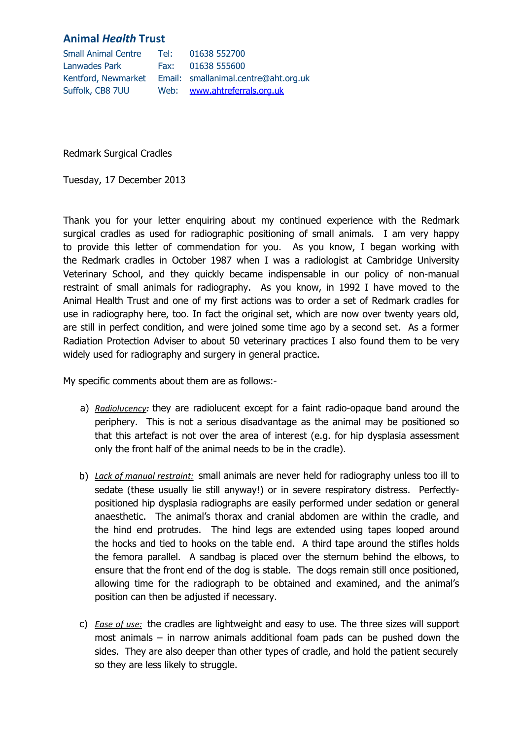## **Animal** *Health* **Trust**

| <b>Small Animal Centre</b> | Tel: | 01638 552700                                             |
|----------------------------|------|----------------------------------------------------------|
| Lanwades Park              |      | Fax: 01638 555600                                        |
|                            |      | Kentford, Newmarket Email: smallanimal.centre@aht.org.uk |
| Suffolk, CB8 7UU           |      | Web: www.ahtreferrals.org.uk                             |

Redmark Surgical Cradles

Tuesday, 17 December 2013

Thank you for your letter enquiring about my continued experience with the Redmark surgical cradles as used for radiographic positioning of small animals. I am very happy to provide this letter of commendation for you. As you know, I began working with the Redmark cradles in October 1987 when I was a radiologist at Cambridge University Veterinary School, and they quickly became indispensable in our policy of non-manual restraint of small animals for radiography. As you know, in 1992 I have moved to the Animal Health Trust and one of my first actions was to order a set of Redmark cradles for use in radiography here, too. In fact the original set, which are now over twenty years old, are still in perfect condition, and were joined some time ago by a second set. As a former Radiation Protection Adviser to about 50 veterinary practices I also found them to be very widely used for radiography and surgery in general practice.

My specific comments about them are as follows:-

- a) *Radiolucency:* they are radiolucent except for a faint radio-opaque band around the periphery. This is not a serious disadvantage as the animal may be positioned so that this artefact is not over the area of interest (e.g. for hip dysplasia assessment only the front half of the animal needs to be in the cradle).
- b) *Lack of manual restraint:* small animals are never held for radiography unless too ill to sedate (these usually lie still anyway!) or in severe respiratory distress. Perfectlypositioned hip dysplasia radiographs are easily performed under sedation or general anaesthetic. The animal's thorax and cranial abdomen are within the cradle, and the hind end protrudes. The hind legs are extended using tapes looped around the hocks and tied to hooks on the table end. A third tape around the stifles holds the femora parallel. A sandbag is placed over the sternum behind the elbows, to ensure that the front end of the dog is stable. The dogs remain still once positioned, allowing time for the radiograph to be obtained and examined, and the animal's position can then be adjusted if necessary.
- c) *Ease of use:* the cradles are lightweight and easy to use. The three sizes will support most animals – in narrow animals additional foam pads can be pushed down the sides. They are also deeper than other types of cradle, and hold the patient securely so they are less likely to struggle.